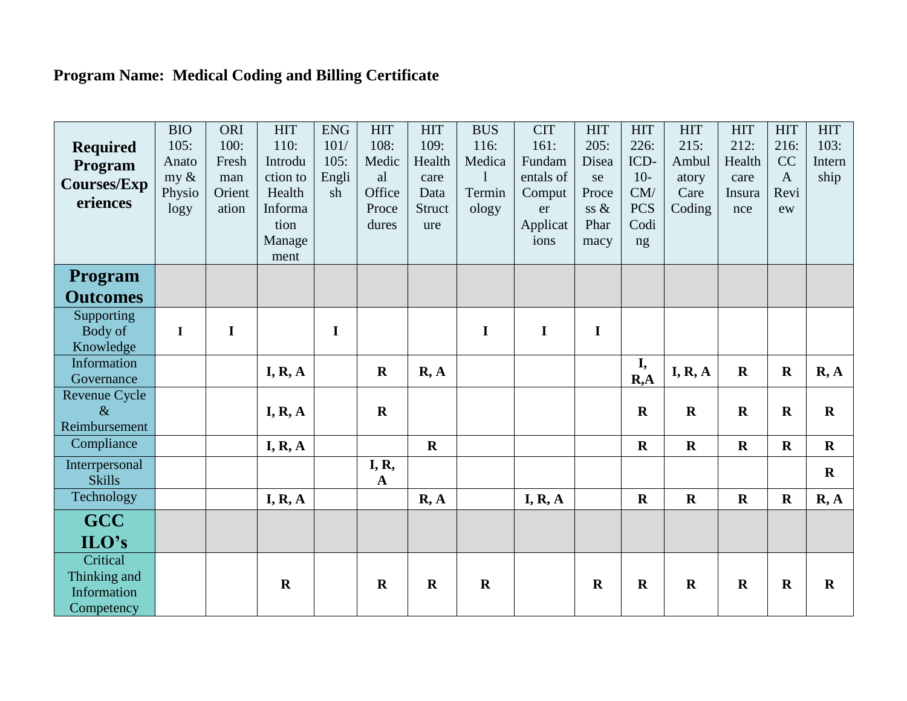## Program Name: Medical Coding and Billing Certificate

| <b>Required</b><br>Program<br><b>Courses/Exp</b><br>eriences | <b>BIO</b><br>105:<br>Anato<br>my $\&$<br>Physio<br>logy | ORI<br>100:<br>Fresh<br>man<br>Orient<br>ation | <b>HIT</b><br>110:<br>Introdu<br>ction to<br>Health<br>Informa<br>tion<br>Manage<br>ment | <b>ENG</b><br>101/<br>105:<br>Engli<br>sh | <b>HIT</b><br>108:<br>Medic<br>al<br>Office<br>Proce<br>dures | <b>HIT</b><br>109:<br>Health<br>care<br>Data<br>Struct<br>ure | <b>BUS</b><br>116:<br>Medica<br>-1<br>Termin<br>ology | <b>CIT</b><br>161:<br>Fundam<br>entals of<br>Comput<br>er<br>Applicat<br>ions | <b>HIT</b><br>205:<br>Disea<br>se<br>Proce<br>ss &<br>Phar<br>macy | <b>HIT</b><br>226:<br>ICD-<br>$10-$<br>CM/<br><b>PCS</b><br>Codi<br>ng | <b>HIT</b><br>215:<br>Ambul<br>atory<br>Care<br>Coding | <b>HIT</b><br>212:<br>Health<br>care<br>Insura<br>nce | <b>HIT</b><br>216:<br>CC<br>$\mathbf{A}$<br>Revi<br>ew | <b>HIT</b><br>103:<br>Intern<br>ship |
|--------------------------------------------------------------|----------------------------------------------------------|------------------------------------------------|------------------------------------------------------------------------------------------|-------------------------------------------|---------------------------------------------------------------|---------------------------------------------------------------|-------------------------------------------------------|-------------------------------------------------------------------------------|--------------------------------------------------------------------|------------------------------------------------------------------------|--------------------------------------------------------|-------------------------------------------------------|--------------------------------------------------------|--------------------------------------|
| <b>Program</b>                                               |                                                          |                                                |                                                                                          |                                           |                                                               |                                                               |                                                       |                                                                               |                                                                    |                                                                        |                                                        |                                                       |                                                        |                                      |
| <b>Outcomes</b>                                              |                                                          |                                                |                                                                                          |                                           |                                                               |                                                               |                                                       |                                                                               |                                                                    |                                                                        |                                                        |                                                       |                                                        |                                      |
| Supporting                                                   | $\mathbf I$                                              | $\mathbf I$                                    |                                                                                          |                                           |                                                               |                                                               |                                                       | $\mathbf I$                                                                   |                                                                    |                                                                        |                                                        |                                                       |                                                        |                                      |
| Body of<br>Knowledge                                         |                                                          |                                                |                                                                                          | $\mathbf I$                               |                                                               |                                                               | $\mathbf I$                                           |                                                                               | I                                                                  |                                                                        |                                                        |                                                       |                                                        |                                      |
| Information<br>Governance                                    |                                                          |                                                | I, R, A                                                                                  |                                           | $\mathbf R$                                                   | R, A                                                          |                                                       |                                                                               |                                                                    | I,<br>R, A                                                             | I, R, A                                                | $\mathbf R$                                           | $\mathbf R$                                            | R, A                                 |
| Revenue Cycle<br>$\&$<br>Reimbursement                       |                                                          |                                                | I, R, A                                                                                  |                                           | $\mathbf R$                                                   |                                                               |                                                       |                                                                               |                                                                    | $\mathbf R$                                                            | $\mathbf R$                                            | $\mathbf R$                                           | $\mathbf R$                                            | $\mathbf R$                          |
| Compliance                                                   |                                                          |                                                | I, R, A                                                                                  |                                           |                                                               | $\mathbf R$                                                   |                                                       |                                                                               |                                                                    | $\mathbf R$                                                            | $\mathbf R$                                            | $\mathbf R$                                           | $\mathbf R$                                            | $\mathbf R$                          |
| Interrpersonal<br><b>Skills</b>                              |                                                          |                                                |                                                                                          |                                           | <b>I</b> , <b>R</b> ,<br>$\mathbf A$                          |                                                               |                                                       |                                                                               |                                                                    |                                                                        |                                                        |                                                       |                                                        | $\mathbf R$                          |
| Technology                                                   |                                                          |                                                | I, R, A                                                                                  |                                           |                                                               | R, A                                                          |                                                       | I, R, A                                                                       |                                                                    | $\mathbf R$                                                            | $\mathbf R$                                            | $\mathbf R$                                           | $\mathbf R$                                            | R, A                                 |
| <b>GCC</b>                                                   |                                                          |                                                |                                                                                          |                                           |                                                               |                                                               |                                                       |                                                                               |                                                                    |                                                                        |                                                        |                                                       |                                                        |                                      |
| $ILO's$                                                      |                                                          |                                                |                                                                                          |                                           |                                                               |                                                               |                                                       |                                                                               |                                                                    |                                                                        |                                                        |                                                       |                                                        |                                      |
| Critical<br>Thinking and<br>Information<br>Competency        |                                                          |                                                | $\mathbf R$                                                                              |                                           | $\mathbf R$                                                   | $\mathbf R$                                                   | $\mathbf R$                                           |                                                                               | $\mathbf R$                                                        | $\mathbf R$                                                            | $\mathbf R$                                            | $\mathbf R$                                           | $\mathbf R$                                            | $\mathbf R$                          |